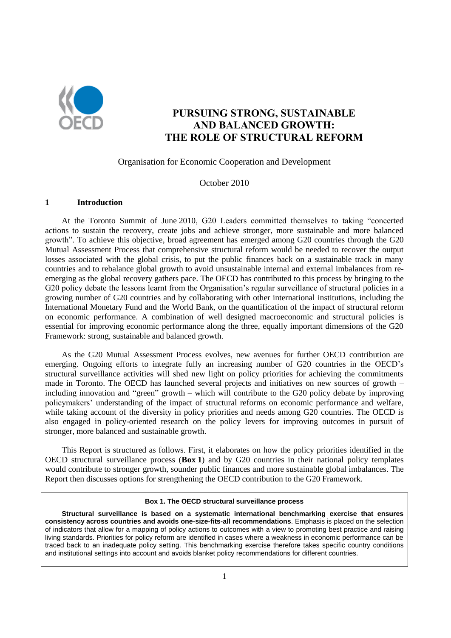

# **PURSUING STRONG, SUSTAINABLE AND BALANCED GROWTH: THE ROLE OF STRUCTURAL REFORM**

### Organisation for Economic Cooperation and Development

### October 2010

#### **1 Introduction**

At the Toronto Summit of June 2010, G20 Leaders committed themselves to taking "concerted actions to sustain the recovery, create jobs and achieve stronger, more sustainable and more balanced growth". To achieve this objective, broad agreement has emerged among G20 countries through the G20 Mutual Assessment Process that comprehensive structural reform would be needed to recover the output losses associated with the global crisis, to put the public finances back on a sustainable track in many countries and to rebalance global growth to avoid unsustainable internal and external imbalances from reemerging as the global recovery gathers pace. The OECD has contributed to this process by bringing to the G20 policy debate the lessons learnt from the Organisation's regular surveillance of structural policies in a growing number of G20 countries and by collaborating with other international institutions, including the International Monetary Fund and the World Bank, on the quantification of the impact of structural reform on economic performance. A combination of well designed macroeconomic and structural policies is essential for improving economic performance along the three, equally important dimensions of the G20 Framework: strong, sustainable and balanced growth.

As the G20 Mutual Assessment Process evolves, new avenues for further OECD contribution are emerging. Ongoing efforts to integrate fully an increasing number of G20 countries in the OECD's structural surveillance activities will shed new light on policy priorities for achieving the commitments made in Toronto. The OECD has launched several projects and initiatives on new sources of growth – including innovation and "green" growth – which will contribute to the G20 policy debate by improving policymakers' understanding of the impact of structural reforms on economic performance and welfare, while taking account of the diversity in policy priorities and needs among G20 countries. The OECD is also engaged in policy-oriented research on the policy levers for improving outcomes in pursuit of stronger, more balanced and sustainable growth.

This Report is structured as follows. First, it elaborates on how the policy priorities identified in the OECD structural surveillance process (**Box 1**) and by G20 countries in their national policy templates would contribute to stronger growth, sounder public finances and more sustainable global imbalances. The Report then discusses options for strengthening the OECD contribution to the G20 Framework.

#### **Box 1. The OECD structural surveillance process**

**Structural surveillance is based on a systematic international benchmarking exercise that ensures consistency across countries and avoids one-size-fits-all recommendations**. Emphasis is placed on the selection of indicators that allow for a mapping of policy actions to outcomes with a view to promoting best practice and raising living standards. Priorities for policy reform are identified in cases where a weakness in economic performance can be traced back to an inadequate policy setting. This benchmarking exercise therefore takes specific country conditions and institutional settings into account and avoids blanket policy recommendations for different countries.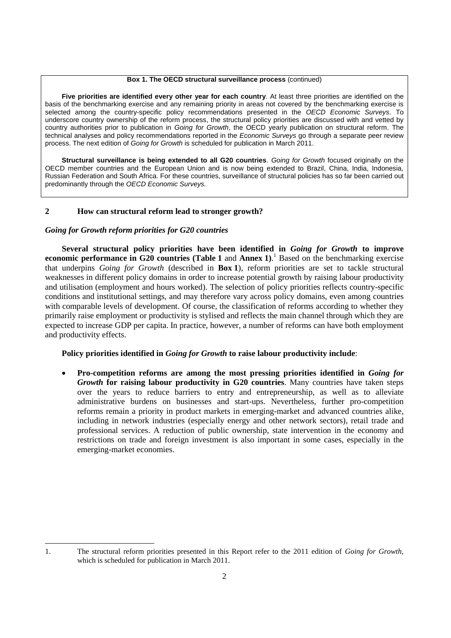#### **Box 1. The OECD structural surveillance process** (continued)

**Five priorities are identified every other year for each country**. At least three priorities are identified on the basis of the benchmarking exercise and any remaining priority in areas not covered by the benchmarking exercise is selected among the country-specific policy recommendations presented in the *OECD Economic Surveys*. To underscore country ownership of the reform process, the structural policy priorities are discussed with and vetted by country authorities prior to publication in *Going for Growth*, the OECD yearly publication on structural reform. The technical analyses and policy recommendations reported in the *Economic Surveys* go through a separate peer review process. The next edition of *Going for Growth* is scheduled for publication in March 2011.

**Structural surveillance is being extended to all G20 countries**. *Going for Growth* focused originally on the OECD member countries and the European Union and is now being extended to Brazil, China, India, Indonesia, Russian Federation and South Africa. For these countries, surveillance of structural policies has so far been carried out predominantly through the *OECD Economic Surveys.* 

## **2 How can structural reform lead to stronger growth?**

## *Going for Growth reform priorities for G20 countries*

**Several structural policy priorities have been identified in** *Going for Growth* **to improve economic performance in G20 countries (Table 1** and **Annex 1)**. <sup>1</sup> Based on the benchmarking exercise that underpins *Going for Growth* (described in **Box 1**), reform priorities are set to tackle structural weaknesses in different policy domains in order to increase potential growth by raising labour productivity and utilisation (employment and hours worked). The selection of policy priorities reflects country-specific conditions and institutional settings, and may therefore vary across policy domains, even among countries with comparable levels of development. Of course, the classification of reforms according to whether they primarily raise employment or productivity is stylised and reflects the main channel through which they are expected to increase GDP per capita. In practice, however, a number of reforms can have both employment and productivity effects.

## **Policy priorities identified in** *Going for Growth* **to raise labour productivity include**:

 **Pro-competition reforms are among the most pressing priorities identified in** *Going for Growth* **for raising labour productivity in G20 countries**. Many countries have taken steps over the years to reduce barriers to entry and entrepreneurship, as well as to alleviate administrative burdens on businesses and start-ups. Nevertheless, further pro-competition reforms remain a priority in product markets in emerging-market and advanced countries alike, including in network industries (especially energy and other network sectors), retail trade and professional services. A reduction of public ownership, state intervention in the economy and restrictions on trade and foreign investment is also important in some cases, especially in the emerging-market economies.

 1. The structural reform priorities presented in this Report refer to the 2011 edition of *Going for Growth*, which is scheduled for publication in March 2011.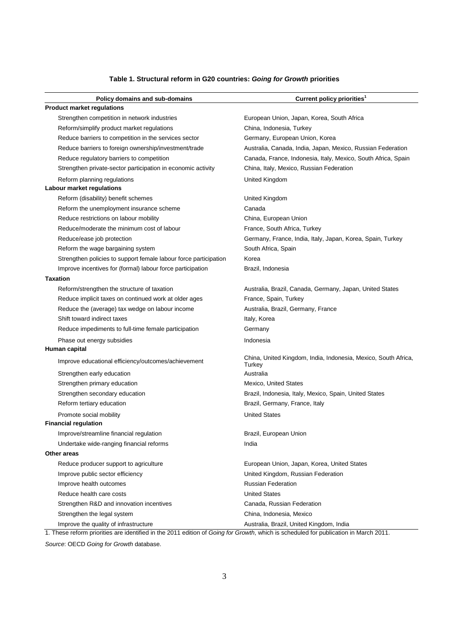## **Table 1. Structural reform in G20 countries:** *Going for Growth* **priorities**

| Policy domains and sub-domains                                          | Current policy priorities <sup>1</sup>                                   |
|-------------------------------------------------------------------------|--------------------------------------------------------------------------|
| <b>Product market regulations</b>                                       |                                                                          |
| Strengthen competition in network industries                            | European Union, Japan, Korea, South Africa                               |
| Reform/simplify product market regulations                              | China, Indonesia, Turkey                                                 |
| Reduce barriers to competition in the services sector                   | Germany, European Union, Korea                                           |
| Reduce barriers to foreign ownership/investment/trade                   | Australia, Canada, India, Japan, Mexico, Russian Federation              |
| Reduce regulatory barriers to competition                               | Canada, France, Indonesia, Italy, Mexico, South Africa, Spain            |
| Strengthen private-sector participation in economic activity            | China, Italy, Mexico, Russian Federation                                 |
| Reform planning regulations                                             | United Kingdom                                                           |
| Labour market regulations                                               |                                                                          |
| Reform (disability) benefit schemes                                     | United Kingdom                                                           |
| Reform the unemployment insurance scheme                                | Canada                                                                   |
| Reduce restrictions on labour mobility                                  | China, European Union                                                    |
| Reduce/moderate the minimum cost of labour                              | France, South Africa, Turkey                                             |
| Reduce/ease job protection                                              | Germany, France, India, Italy, Japan, Korea, Spain, Turkey               |
| Reform the wage bargaining system                                       | South Africa, Spain                                                      |
| Strengthen policies to support female labour force participation        | Korea                                                                    |
| Improve incentives for (formal) labour force participation              | Brazil, Indonesia                                                        |
| <b>Taxation</b>                                                         |                                                                          |
| Reform/strengthen the structure of taxation                             | Australia, Brazil, Canada, Germany, Japan, United States                 |
| Reduce implicit taxes on continued work at older ages                   | France, Spain, Turkey                                                    |
| Reduce the (average) tax wedge on labour income                         | Australia, Brazil, Germany, France                                       |
| Shift toward indirect taxes                                             | Italy, Korea                                                             |
| Reduce impediments to full-time female participation                    | Germany                                                                  |
| Phase out energy subsidies                                              | Indonesia                                                                |
| Human capital                                                           |                                                                          |
| Improve educational efficiency/outcomes/achievement                     | China, United Kingdom, India, Indonesia, Mexico, South Africa,<br>Turkey |
| Strengthen early education                                              | Australia                                                                |
| Strengthen primary education                                            | Mexico, United States                                                    |
| Strengthen secondary education                                          | Brazil, Indonesia, Italy, Mexico, Spain, United States                   |
| Reform tertiary education                                               | Brazil, Germany, France, Italy                                           |
| Promote social mobility                                                 | <b>United States</b>                                                     |
| <b>Financial regulation</b>                                             |                                                                          |
| Improve/streamline financial regulation                                 | Brazil, European Union                                                   |
| Undertake wide-ranging financial reforms                                | India                                                                    |
| Other areas                                                             |                                                                          |
| Reduce producer support to agriculture                                  | European Union, Japan, Korea, United States                              |
| Improve public sector efficiency                                        | United Kingdom, Russian Federation                                       |
| Improve health outcomes                                                 | <b>Russian Federation</b>                                                |
| Reduce health care costs                                                | <b>United States</b>                                                     |
| Strengthen R&D and innovation incentives                                | Canada, Russian Federation                                               |
| Strengthen the legal system                                             | China, Indonesia, Mexico                                                 |
| Improve the quality of infrastructure<br>$100 - 100$ and $-0.044 - 100$ | Australia, Brazil, United Kingdom, India                                 |

1. These reform priorities are identified in the 2011 edition of *Going for Growth*, which is scheduled for publication in March 2011.

*Source*: OECD *Going for Growth* database.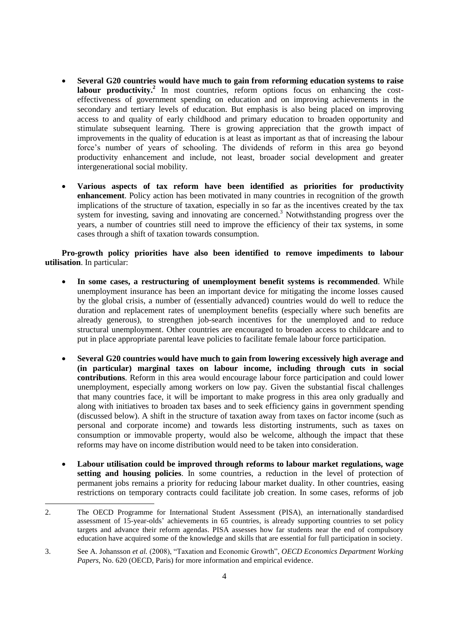- **Several G20 countries would have much to gain from reforming education systems to raise**  labour productivity.<sup>2</sup> In most countries, reform options focus on enhancing the costeffectiveness of government spending on education and on improving achievements in the secondary and tertiary levels of education. But emphasis is also being placed on improving access to and quality of early childhood and primary education to broaden opportunity and stimulate subsequent learning. There is growing appreciation that the growth impact of improvements in the quality of education is at least as important as that of increasing the labour force's number of years of schooling. The dividends of reform in this area go beyond productivity enhancement and include, not least, broader social development and greater intergenerational social mobility.
- **Various aspects of tax reform have been identified as priorities for productivity enhancement**. Policy action has been motivated in many countries in recognition of the growth implications of the structure of taxation, especially in so far as the incentives created by the tax system for investing, saving and innovating are concerned.<sup>3</sup> Notwithstanding progress over the years, a number of countries still need to improve the efficiency of their tax systems, in some cases through a shift of taxation towards consumption.

**Pro-growth policy priorities have also been identified to remove impediments to labour utilisation**. In particular:

- **In some cases, a restructuring of unemployment benefit systems is recommended**. While unemployment insurance has been an important device for mitigating the income losses caused by the global crisis, a number of (essentially advanced) countries would do well to reduce the duration and replacement rates of unemployment benefits (especially where such benefits are already generous), to strengthen job-search incentives for the unemployed and to reduce structural unemployment. Other countries are encouraged to broaden access to childcare and to put in place appropriate parental leave policies to facilitate female labour force participation.
- **Several G20 countries would have much to gain from lowering excessively high average and (in particular) marginal taxes on labour income, including through cuts in social contributions**. Reform in this area would encourage labour force participation and could lower unemployment, especially among workers on low pay. Given the substantial fiscal challenges that many countries face, it will be important to make progress in this area only gradually and along with initiatives to broaden tax bases and to seek efficiency gains in government spending (discussed below). A shift in the structure of taxation away from taxes on factor income (such as personal and corporate income) and towards less distorting instruments, such as taxes on consumption or immovable property, would also be welcome, although the impact that these reforms may have on income distribution would need to be taken into consideration.
- **Labour utilisation could be improved through reforms to labour market regulations, wage setting and housing policies**. In some countries, a reduction in the level of protection of permanent jobs remains a priority for reducing labour market duality. In other countries, easing restrictions on temporary contracts could facilitate job creation. In some cases, reforms of job

 2. The OECD Programme for International Student Assessment [\(PISA\)](http://www.pisa.oecd.org/), an internationally standardised assessment of 15-year-olds' achievements in 65 countries, is already supporting countries to set policy targets and advance their reform agendas. PISA assesses how far students near the end of compulsory education have acquired some of the knowledge and skills that are essential for full participation in society.

<sup>3.</sup> See A. Johansson *et al.* (2008), "Taxation and Economic Growth", *OECD Economics Department Working Papers*, No. 620 (OECD, Paris) for more information and empirical evidence.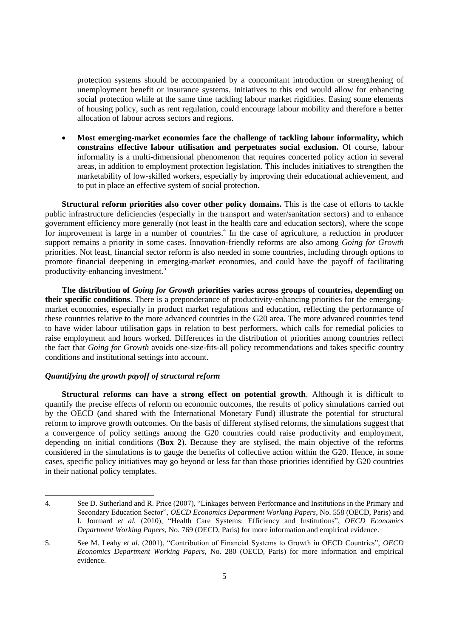protection systems should be accompanied by a concomitant introduction or strengthening of unemployment benefit or insurance systems. Initiatives to this end would allow for enhancing social protection while at the same time tackling labour market rigidities. Easing some elements of housing policy, such as rent regulation, could encourage labour mobility and therefore a better allocation of labour across sectors and regions.

 **Most emerging-market economies face the challenge of tackling labour informality, which constrains effective labour utilisation and perpetuates social exclusion.** Of course, labour informality is a multi-dimensional phenomenon that requires concerted policy action in several areas, in addition to employment protection legislation. This includes initiatives to strengthen the marketability of low-skilled workers, especially by improving their educational achievement, and to put in place an effective system of social protection.

**Structural reform priorities also cover other policy domains.** This is the case of efforts to tackle public infrastructure deficiencies (especially in the transport and water/sanitation sectors) and to enhance government efficiency more generally (not least in the health care and education sectors), where the scope for improvement is large in a number of countries.<sup>4</sup> In the case of agriculture, a reduction in producer support remains a priority in some cases. Innovation-friendly reforms are also among *Going for Growth* priorities. Not least, financial sector reform is also needed in some countries, including through options to promote financial deepening in emerging-market economies, and could have the payoff of facilitating productivity-enhancing investment.<sup>5</sup>

**The distribution of** *Going for Growth* **priorities varies across groups of countries, depending on their specific conditions**. There is a preponderance of productivity-enhancing priorities for the emergingmarket economies, especially in product market regulations and education, reflecting the performance of these countries relative to the more advanced countries in the G20 area. The more advanced countries tend to have wider labour utilisation gaps in relation to best performers, which calls for remedial policies to raise employment and hours worked. Differences in the distribution of priorities among countries reflect the fact that *Going for Growth* avoids one-size-fits-all policy recommendations and takes specific country conditions and institutional settings into account.

### *Quantifying the growth payoff of structural reform*

 $\overline{a}$ 

**Structural reforms can have a strong effect on potential growth**. Although it is difficult to quantify the precise effects of reform on economic outcomes, the results of policy simulations carried out by the OECD (and shared with the International Monetary Fund) illustrate the potential for structural reform to improve growth outcomes. On the basis of different stylised reforms, the simulations suggest that a convergence of policy settings among the G20 countries could raise productivity and employment, depending on initial conditions (**Box 2**). Because they are stylised, the main objective of the reforms considered in the simulations is to gauge the benefits of collective action within the G20. Hence, in some cases, specific policy initiatives may go beyond or less far than those priorities identified by G20 countries in their national policy templates.

<sup>4.</sup> See D. Sutherland and R. Price (2007), "Linkages between Performance and Institutions in the Primary and Secondary Education Sector", *OECD Economics Department Working Papers*, No. 558 (OECD, Paris) and I. Joumard *et al.* (2010), "Health Care Systems: Efficiency and Institutions", *OECD Economics Department Working Papers*, No. 769 (OECD, Paris) for more information and empirical evidence.

<sup>5.</sup> See M. Leahy *et al.* (2001), "Contribution of Financial Systems to Growth in OECD Countries", *OECD Economics Department Working Papers*, No. 280 (OECD, Paris) for more information and empirical evidence.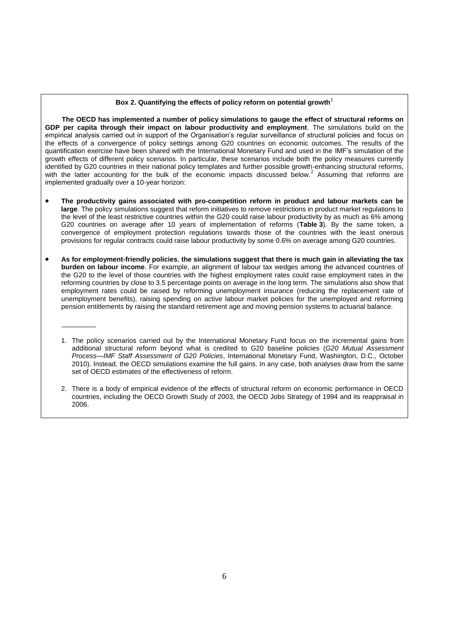#### Box 2. Quantifying the effects of policy reform on potential growth<sup>1</sup>

**The OECD has implemented a number of policy simulations to gauge the effect of structural reforms on GDP per capita through their impact on labour productivity and employment**. The simulations build on the empirical analysis carried out in support of the Organisation's regular surveillance of structural policies and focus on the effects of a convergence of policy settings among G20 countries on economic outcomes. The results of the quantification exercise have been shared with the International Monetary Fund and used in the IMF's simulation of the growth effects of different policy scenarios. In particular, these scenarios include both the policy measures currently identified by G20 countries in their national policy templates and further possible growth-enhancing structural reforms, with the latter accounting for the bulk of the economic impacts discussed below.<sup>2</sup> Assuming that reforms are implemented gradually over a 10-year horizon:

- **The productivity gains associated with pro-competition reform in product and labour markets can be large**. The policy simulations suggest that reform initiatives to remove restrictions in product market regulations to the level of the least restrictive countries within the G20 could raise labour productivity by as much as 6% among G20 countries on average after 10 years of implementation of reforms (**Table 3**). By the same token, a convergence of employment protection regulations towards those of the countries with the least onerous provisions for regular contracts could raise labour productivity by some 0.6% on average among G20 countries.
- **As for employment-friendly policies**, **the simulations suggest that there is much gain in alleviating the tax burden on labour income**. For example, an alignment of labour tax wedges among the advanced countries of the G20 to the level of those countries with the highest employment rates could raise employment rates in the reforming countries by close to 3.5 percentage points on average in the long term. The simulations also show that employment rates could be raised by reforming unemployment insurance (reducing the replacement rate of unemployment benefits), raising spending on active labour market policies for the unemployed and reforming pension entitlements by raising the standard retirement age and moving pension systems to actuarial balance.

 $\overline{\phantom{a}}$ 

1. The policy scenarios carried out by the International Monetary Fund focus on the incremental gains from additional structural reform beyond what is credited to G20 baseline policies (*G20 Mutual Assessment Process—IMF Staff Assessment of G20 Policies*, International Monetary Fund, Washington, D.C., October 2010). Instead, the OECD simulations examine the full gains. In any case, both analyses draw from the same set of OECD estimates of the effectiveness of reform.

2. There is a body of empirical evidence of the effects of structural reform on economic performance in OECD countries, including the OECD Growth Study of 2003, the OECD Jobs Strategy of 1994 and its reappraisal in 2006.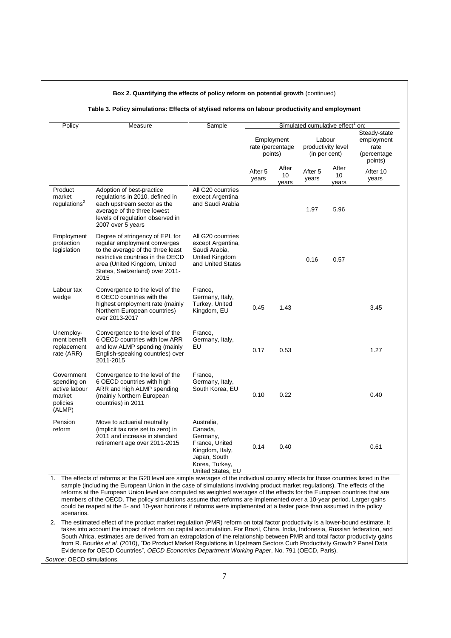| Policy                                                                     | Measure                                                                                                                                                                                                                                                                                                                                                                                                                                                                                                                                                                                                                                   | Sample                                                                                                                        |                                           |                      | Simulated cumulative effect <sup>1</sup> on:  |                      |                                                              |
|----------------------------------------------------------------------------|-------------------------------------------------------------------------------------------------------------------------------------------------------------------------------------------------------------------------------------------------------------------------------------------------------------------------------------------------------------------------------------------------------------------------------------------------------------------------------------------------------------------------------------------------------------------------------------------------------------------------------------------|-------------------------------------------------------------------------------------------------------------------------------|-------------------------------------------|----------------------|-----------------------------------------------|----------------------|--------------------------------------------------------------|
|                                                                            |                                                                                                                                                                                                                                                                                                                                                                                                                                                                                                                                                                                                                                           |                                                                                                                               | Employment<br>rate (percentage<br>points) |                      | Labour<br>productivity level<br>(in per cent) |                      | Steady-state<br>employment<br>rate<br>(percentage<br>points) |
|                                                                            |                                                                                                                                                                                                                                                                                                                                                                                                                                                                                                                                                                                                                                           |                                                                                                                               | After 5<br>years                          | After<br>10<br>years | After 5<br>years                              | After<br>10<br>years | After 10<br>years                                            |
| Product<br>market<br>regulations <sup>2</sup>                              | Adoption of best-practice<br>regulations in 2010, defined in<br>each upstream sector as the<br>average of the three lowest<br>levels of regulation observed in<br>2007 over 5 years                                                                                                                                                                                                                                                                                                                                                                                                                                                       | All G20 countries<br>except Argentina<br>and Saudi Arabia                                                                     |                                           |                      | 1.97                                          | 5.96                 |                                                              |
| Employment<br>protection<br>legislation                                    | Degree of stringency of EPL for<br>regular employment converges<br>to the average of the three least<br>restrictive countries in the OECD<br>area (United Kingdom, United<br>States, Switzerland) over 2011-<br>2015                                                                                                                                                                                                                                                                                                                                                                                                                      | All G20 countries<br>except Argentina,<br>Saudi Arabia,<br><b>United Kingdom</b><br>and United States                         |                                           |                      | 0.16                                          | 0.57                 |                                                              |
| Labour tax<br>wedge                                                        | Convergence to the level of the<br>6 OECD countries with the<br>highest employment rate (mainly<br>Northern European countries)<br>over 2013-2017                                                                                                                                                                                                                                                                                                                                                                                                                                                                                         | France,<br>Germany, Italy,<br>Turkey, United<br>Kingdom, EU                                                                   | 0.45                                      | 1.43                 |                                               |                      | 3.45                                                         |
| Unemploy-<br>ment benefit<br>replacement<br>rate (ARR)                     | Convergence to the level of the<br>6 OECD countries with low ARR<br>and low ALMP spending (mainly<br>English-speaking countries) over<br>2011-2015                                                                                                                                                                                                                                                                                                                                                                                                                                                                                        | France,<br>Germany, Italy,<br>EU                                                                                              | 0.17                                      | 0.53                 |                                               |                      | 1.27                                                         |
| Government<br>spending on<br>active labour<br>market<br>policies<br>(ALMP) | Convergence to the level of the<br>6 OECD countries with high<br>ARR and high ALMP spending<br>(mainly Northern European<br>countries) in 2011                                                                                                                                                                                                                                                                                                                                                                                                                                                                                            | France,<br>Germany, Italy,<br>South Korea, EU                                                                                 | 0.10                                      | 0.22                 |                                               |                      | 0.40                                                         |
| Pension<br>reform                                                          | Move to actuarial neutrality<br>(implicit tax rate set to zero) in<br>2011 and increase in standard<br>retirement age over 2011-2015                                                                                                                                                                                                                                                                                                                                                                                                                                                                                                      | Australia,<br>Canada,<br>Germany,<br>France, United<br>Kingdom, Italy,<br>Japan, South<br>Korea, Turkey,<br>United States, EU | 0.14                                      | 0.40                 |                                               |                      | 0.61                                                         |
| 1.<br>scenarios.                                                           | The effects of reforms at the G20 level are simple averages of the individual country effects for those countries listed in the<br>sample (including the European Union in the case of simulations involving product market regulations). The effects of the<br>reforms at the European Union level are computed as weighted averages of the effects for the European countries that are<br>members of the OECD. The policy simulations assume that reforms are implemented over a 10-year period. Larger gains<br>could be reaped at the 5- and 10-year horizons if reforms were implemented at a faster pace than assumed in the policy |                                                                                                                               |                                           |                      |                                               |                      |                                                              |

h

Evidence for OECD Countries", *OECD Economics Department Working Paper*, No. 791 (OECD, Paris).

*Source*: OECD simulations.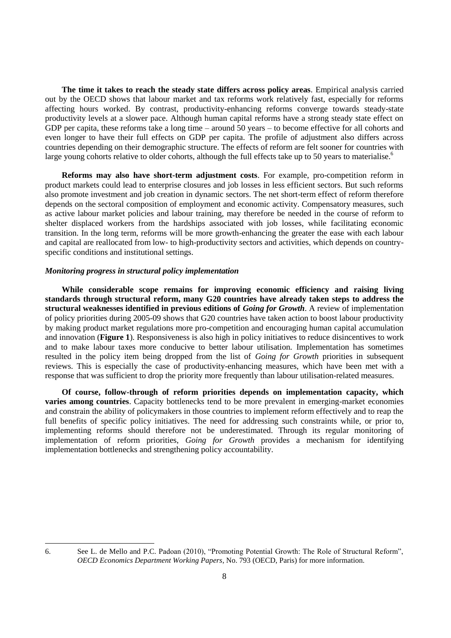**The time it takes to reach the steady state differs across policy areas**. Empirical analysis carried out by the OECD shows that labour market and tax reforms work relatively fast, especially for reforms affecting hours worked. By contrast, productivity-enhancing reforms converge towards steady-state productivity levels at a slower pace. Although human capital reforms have a strong steady state effect on GDP per capita, these reforms take a long time – around 50 years – to become effective for all cohorts and even longer to have their full effects on GDP per capita. The profile of adjustment also differs across countries depending on their demographic structure. The effects of reform are felt sooner for countries with large young cohorts relative to older cohorts, although the full effects take up to 50 years to materialise.<sup>6</sup>

**Reforms may also have short-term adjustment costs**. For example, pro-competition reform in product markets could lead to enterprise closures and job losses in less efficient sectors. But such reforms also promote investment and job creation in dynamic sectors. The net short-term effect of reform therefore depends on the sectoral composition of employment and economic activity. Compensatory measures, such as active labour market policies and labour training, may therefore be needed in the course of reform to shelter displaced workers from the hardships associated with job losses, while facilitating economic transition. In the long term, reforms will be more growth-enhancing the greater the ease with each labour and capital are reallocated from low- to high-productivity sectors and activities, which depends on countryspecific conditions and institutional settings.

### *Monitoring progress in structural policy implementation*

**While considerable scope remains for improving economic efficiency and raising living standards through structural reform, many G20 countries have already taken steps to address the structural weaknesses identified in previous editions of** *Going for Growth*. A review of implementation of policy priorities during 2005-09 shows that G20 countries have taken action to boost labour productivity by making product market regulations more pro-competition and encouraging human capital accumulation and innovation (**Figure 1**). Responsiveness is also high in policy initiatives to reduce disincentives to work and to make labour taxes more conducive to better labour utilisation. Implementation has sometimes resulted in the policy item being dropped from the list of *Going for Growth* priorities in subsequent reviews. This is especially the case of productivity-enhancing measures, which have been met with a response that was sufficient to drop the priority more frequently than labour utilisation-related measures.

**Of course, follow-through of reform priorities depends on implementation capacity, which varies among countries**. Capacity bottlenecks tend to be more prevalent in emerging-market economies and constrain the ability of policymakers in those countries to implement reform effectively and to reap the full benefits of specific policy initiatives. The need for addressing such constraints while, or prior to, implementing reforms should therefore not be underestimated. Through its regular monitoring of implementation of reform priorities, *Going for Growth* provides a mechanism for identifying implementation bottlenecks and strengthening policy accountability.

<sup>6.</sup> See L. de Mello and P.C. Padoan (2010), "Promoting Potential Growth: The Role of Structural Reform", *OECD Economics Department Working Papers*, No. 793 (OECD, Paris) for more information.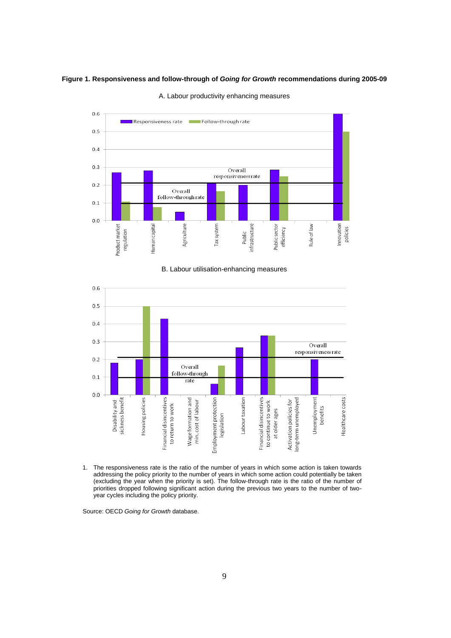#### **Figure 1. Responsiveness and follow-through of** *Going for Growth* **recommendations during 2005-09**



A. Labour productivity enhancing measures

#### B. Labour utilisation-enhancing measures



1. The responsiveness rate is the ratio of the number of years in which some action is taken towards addressing the policy priority to the number of years in which some action could potentially be taken (excluding the year when the priority is set). The follow-through rate is the ratio of the number of priorities dropped following significant action during the previous two years to the number of twoyear cycles including the policy priority.

Source: OECD *Going for Growth* database.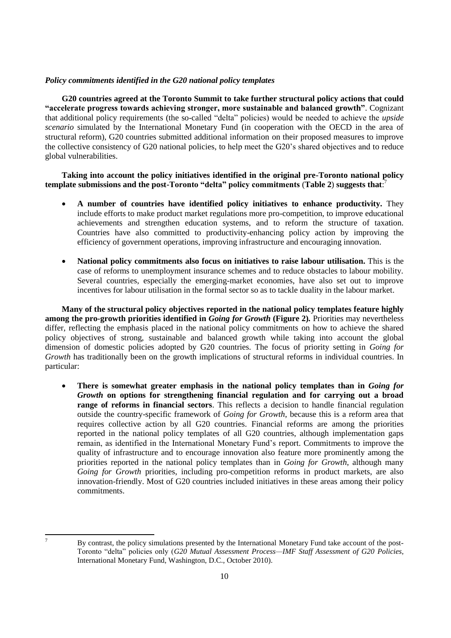## *Policy commitments identified in the G20 national policy templates*

**G20 countries agreed at the Toronto Summit to take further structural policy actions that could "accelerate progress towards achieving stronger, more sustainable and balanced growth"**. Cognizant that additional policy requirements (the so-called "delta" policies) would be needed to achieve the *upside scenario* simulated by the International Monetary Fund (in cooperation with the OECD in the area of structural reform), G20 countries submitted additional information on their proposed measures to improve the collective consistency of G20 national policies, to help meet the G20's shared objectives and to reduce global vulnerabilities.

## **Taking into account the policy initiatives identified in the original pre-Toronto national policy template submissions and the post-Toronto "delta" policy commitments** (**Table 2**) **suggests that**: 7

- **A number of countries have identified policy initiatives to enhance productivity.** They include efforts to make product market regulations more pro-competition, to improve educational achievements and strengthen education systems, and to reform the structure of taxation. Countries have also committed to productivity-enhancing policy action by improving the efficiency of government operations, improving infrastructure and encouraging innovation.
- **National policy commitments also focus on initiatives to raise labour utilisation.** This is the case of reforms to unemployment insurance schemes and to reduce obstacles to labour mobility. Several countries, especially the emerging-market economies, have also set out to improve incentives for labour utilisation in the formal sector so as to tackle duality in the labour market.

**Many of the structural policy objectives reported in the national policy templates feature highly among the pro-growth priorities identified in** *Going for Growth* **(Figure 2)***.* Priorities may nevertheless differ, reflecting the emphasis placed in the national policy commitments on how to achieve the shared policy objectives of strong, sustainable and balanced growth while taking into account the global dimension of domestic policies adopted by G20 countries. The focus of priority setting in *Going for Growth* has traditionally been on the growth implications of structural reforms in individual countries. In particular:

 **There is somewhat greater emphasis in the national policy templates than in** *Going for Growth* **on options for strengthening financial regulation and for carrying out a broad range of reforms in financial sectors**. This reflects a decision to handle financial regulation outside the country-specific framework of *Going for Growth*, because this is a reform area that requires collective action by all G20 countries. Financial reforms are among the priorities reported in the national policy templates of all G20 countries, although implementation gaps remain, as identified in the International Monetary Fund's report. Commitments to improve the quality of infrastructure and to encourage innovation also feature more prominently among the priorities reported in the national policy templates than in *Going for Growth*, although many *Going for Growth* priorities, including pro-competition reforms in product markets, are also innovation-friendly. Most of G20 countries included initiatives in these areas among their policy commitments.

 $\overline{7}$ 

By contrast, the policy simulations presented by the International Monetary Fund take account of the post-Toronto "delta" policies only (*G20 Mutual Assessment Process—IMF Staff Assessment of G20 Policies*, International Monetary Fund, Washington, D.C., October 2010).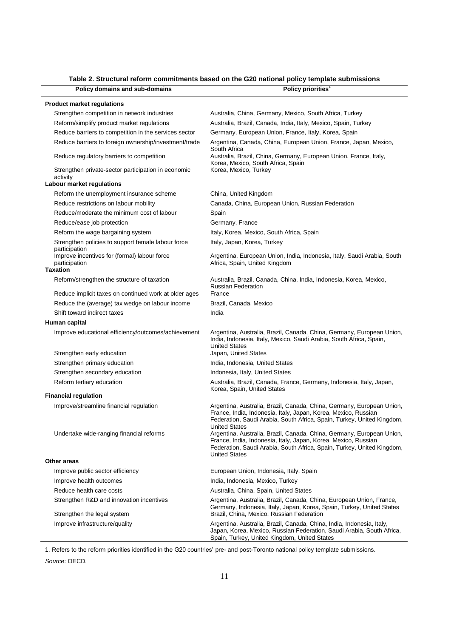## **Table 2. Structural reform commitments based on the G20 national policy template submissions**

| Policy domains and sub-domains                                                                       | Policy priorities <sup>1</sup>                                                                                                                                                                                                            |
|------------------------------------------------------------------------------------------------------|-------------------------------------------------------------------------------------------------------------------------------------------------------------------------------------------------------------------------------------------|
| <b>Product market regulations</b>                                                                    |                                                                                                                                                                                                                                           |
| Strengthen competition in network industries                                                         | Australia, China, Germany, Mexico, South Africa, Turkey                                                                                                                                                                                   |
| Reform/simplify product market regulations                                                           | Australia, Brazil, Canada, India, Italy, Mexico, Spain, Turkey                                                                                                                                                                            |
| Reduce barriers to competition in the services sector                                                | Germany, European Union, France, Italy, Korea, Spain                                                                                                                                                                                      |
| Reduce barriers to foreign ownership/investment/trade                                                | Argentina, Canada, China, European Union, France, Japan, Mexico,                                                                                                                                                                          |
|                                                                                                      | South Africa                                                                                                                                                                                                                              |
| Reduce regulatory barriers to competition                                                            | Australia, Brazil, China, Germany, European Union, France, Italy,<br>Korea, Mexico, South Africa, Spain                                                                                                                                   |
| Strengthen private-sector participation in economic<br>activity                                      | Korea, Mexico, Turkey                                                                                                                                                                                                                     |
| Labour market regulations                                                                            |                                                                                                                                                                                                                                           |
| Reform the unemployment insurance scheme                                                             | China, United Kingdom                                                                                                                                                                                                                     |
| Reduce restrictions on labour mobility                                                               | Canada, China, European Union, Russian Federation                                                                                                                                                                                         |
| Reduce/moderate the minimum cost of labour                                                           | Spain                                                                                                                                                                                                                                     |
| Reduce/ease job protection                                                                           | Germany, France                                                                                                                                                                                                                           |
| Reform the wage bargaining system                                                                    | Italy, Korea, Mexico, South Africa, Spain                                                                                                                                                                                                 |
| Strengthen policies to support female labour force<br>participation                                  | Italy, Japan, Korea, Turkey                                                                                                                                                                                                               |
| Improve incentives for (formal) labour force<br>participation                                        | Argentina, European Union, India, Indonesia, Italy, Saudi Arabia, South<br>Africa, Spain, United Kingdom                                                                                                                                  |
| <b>Taxation</b>                                                                                      |                                                                                                                                                                                                                                           |
| Reform/strengthen the structure of taxation<br>Reduce implicit taxes on continued work at older ages | Australia, Brazil, Canada, China, India, Indonesia, Korea, Mexico,<br><b>Russian Federation</b><br>France                                                                                                                                 |
| Reduce the (average) tax wedge on labour income                                                      | Brazil, Canada, Mexico                                                                                                                                                                                                                    |
| Shift toward indirect taxes                                                                          | India                                                                                                                                                                                                                                     |
| Human capital                                                                                        |                                                                                                                                                                                                                                           |
| Improve educational efficiency/outcomes/achievement                                                  | Argentina, Australia, Brazil, Canada, China, Germany, European Union,<br>India, Indonesia, Italy, Mexico, Saudi Arabia, South Africa, Spain,<br><b>United States</b>                                                                      |
| Strengthen early education                                                                           | Japan, United States                                                                                                                                                                                                                      |
| Strengthen primary education                                                                         | India, Indonesia, United States                                                                                                                                                                                                           |
| Strengthen secondary education                                                                       | Indonesia, Italy, United States                                                                                                                                                                                                           |
| Reform tertiary education                                                                            | Australia, Brazil, Canada, France, Germany, Indonesia, Italy, Japan,<br>Korea, Spain, United States                                                                                                                                       |
| <b>Financial regulation</b>                                                                          |                                                                                                                                                                                                                                           |
| Improve/streamline financial regulation                                                              | Argentina, Australia, Brazil, Canada, China, Germany, European Union,<br>France, India, Indonesia, Italy, Japan, Korea, Mexico, Russian<br>Federation, Saudi Arabia, South Africa, Spain, Turkey, United Kingdom,<br>United States        |
| Undertake wide-ranging financial reforms                                                             | Argentina, Australia, Brazil, Canada, China, Germany, European Union,<br>France, India, Indonesia, Italy, Japan, Korea, Mexico, Russian<br>Federation, Saudi Arabia, South Africa, Spain, Turkey, United Kingdom,<br><b>United States</b> |
| Other areas                                                                                          |                                                                                                                                                                                                                                           |
| Improve public sector efficiency                                                                     | European Union, Indonesia, Italy, Spain                                                                                                                                                                                                   |
| Improve health outcomes                                                                              | India, Indonesia, Mexico, Turkey                                                                                                                                                                                                          |
| Reduce health care costs                                                                             | Australia, China, Spain, United States                                                                                                                                                                                                    |
| Strengthen R&D and innovation incentives                                                             | Argentina, Australia, Brazil, Canada, China, European Union, France,                                                                                                                                                                      |
| Strengthen the legal system                                                                          | Germany, Indonesia, Italy, Japan, Korea, Spain, Turkey, United States<br>Brazil, China, Mexico, Russian Federation                                                                                                                        |
| Improve infrastructure/quality                                                                       | Argentina, Australia, Brazil, Canada, China, India, Indonesia, Italy,<br>Japan, Korea, Mexico, Russian Federation, Saudi Arabia, South Africa,<br>Spain, Turkey, United Kingdom, United States                                            |

1. Refers to the reform priorities identified in the G20 countries' pre- and post-Toronto national policy template submissions.

*Source*: OECD.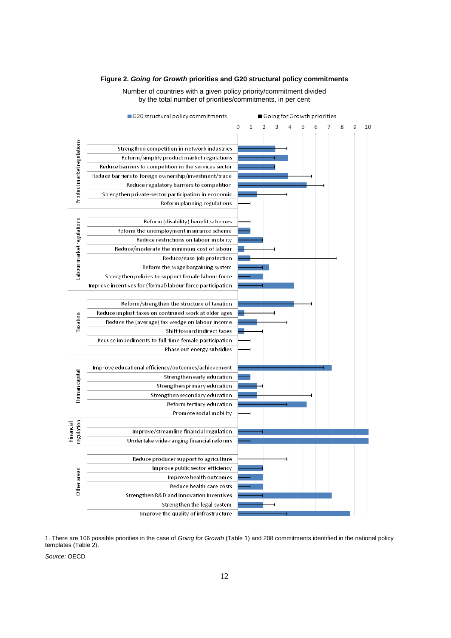#### G20 structural policy commitments Going for Growth priorities  $\overline{O}$  $\overline{1}$  $\overline{\phantom{a}}$ 3  $\overline{A}$  $\overline{5}$ 6  $\overline{7}$ 8 9 10 Productmarketregulations Strengthen competition in network industries Reform/simplify product market regulations Reduce barriers to competition in the services sector Reduce barriers to foreign ownership/investment/trade Reduce regulatory barriers to competition Strengthen private-sector participation in economic. Reform planning regulations Labour market regulations Reform (disability) benefit schemes Reform the unemployment insurance scheme Reduce restrictions on labour mobility Reduce/moderate the minimum cost of labour Reduce/ease job protection Reform the wage bargaining system Strengthen policies to support female labour force. Improve incentives for (formal) labour force participation Reform/strengthen the structure of taxation Reduce implicit taxes on continued work at older ages Taxation Reduce the (average) tax wedge on labour income Shift toward indirect taxes Reduce impediments to full-time female participation Phase out energy subsidies Improve educational efficiency/outcomes/achievement Human capital Strengthen early education Strengthen primary education Strengthen secondary education Reform tertiary education Promote social mobility Financial regulation Improve/streamline financial regulation Undertake wide-ranging financial reforms Reduce producer support to agriculture Improve public sector efficiency Other areas Improve health outcomes Reduce health care costs Strengthen R&D and innovation incentives Strengthen the legal system Improve the quality of infrastructure

#### **Figure 2.** *Going for Growth* **priorities and G20 structural policy commitments**

Number of countries with a given policy priority/commitment divided by the total number of priorities/commitments, in per cent

1. There are 106 possible priorities in the case of *Going for Growth* (Table 1) and 208 commitments identified in the national policy templates (Table 2).

*Source:* OECD.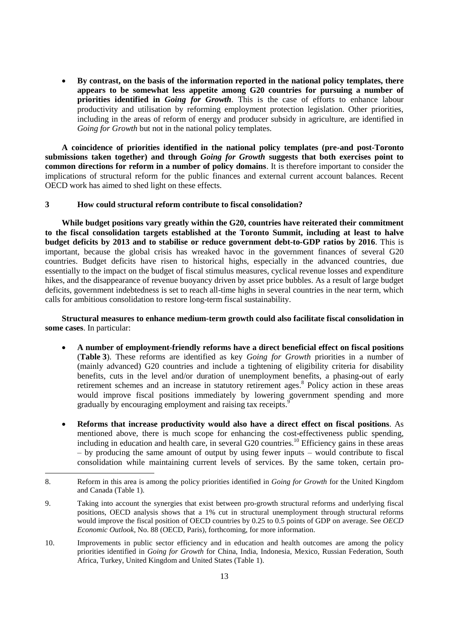**By contrast, on the basis of the information reported in the national policy templates, there appears to be somewhat less appetite among G20 countries for pursuing a number of priorities identified in** *Going for Growth*. This is the case of efforts to enhance labour productivity and utilisation by reforming employment protection legislation. Other priorities, including in the areas of reform of energy and producer subsidy in agriculture, are identified in *Going for Growth* but not in the national policy templates.

**A coincidence of priorities identified in the national policy templates (pre-and post-Toronto submissions taken together) and through** *Going for Growth* **suggests that both exercises point to common directions for reform in a number of policy domains**. It is therefore important to consider the implications of structural reform for the public finances and external current account balances. Recent OECD work has aimed to shed light on these effects.

## **3 How could structural reform contribute to fiscal consolidation?**

**While budget positions vary greatly within the G20, countries have reiterated their commitment to the fiscal consolidation targets established at the Toronto Summit, including at least to halve budget deficits by 2013 and to stabilise or reduce government debt-to-GDP ratios by 2016**. This is important, because the global crisis has wreaked havoc in the government finances of several G20 countries. Budget deficits have risen to historical highs, especially in the advanced countries, due essentially to the impact on the budget of fiscal stimulus measures, cyclical revenue losses and expenditure hikes, and the disappearance of revenue buoyancy driven by asset price bubbles. As a result of large budget deficits, government indebtedness is set to reach all-time highs in several countries in the near term, which calls for ambitious consolidation to restore long-term fiscal sustainability.

**Structural measures to enhance medium-term growth could also facilitate fiscal consolidation in some cases**. In particular:

- **A number of employment-friendly reforms have a direct beneficial effect on fiscal positions** (**Table 3**). These reforms are identified as key *Going for Growth* priorities in a number of (mainly advanced) G20 countries and include a tightening of eligibility criteria for disability benefits, cuts in the level and/or duration of unemployment benefits, a phasing-out of early retirement schemes and an increase in statutory retirement ages.<sup>8</sup> Policy action in these areas would improve fiscal positions immediately by lowering government spending and more gradually by encouraging employment and raising tax receipts.<sup>9</sup>
- **Reforms that increase productivity would also have a direct effect on fiscal positions**. As mentioned above, there is much scope for enhancing the cost-effectiveness public spending, including in education and health care, in several G20 countries.<sup>10</sup> Efficiency gains in these areas – by producing the same amount of output by using fewer inputs – would contribute to fiscal consolidation while maintaining current levels of services. By the same token, certain pro-

- 9. Taking into account the synergies that exist between pro-growth structural reforms and underlying fiscal positions, OECD analysis shows that a 1% cut in structural unemployment through structural reforms would improve the fiscal position of OECD countries by 0.25 to 0.5 points of GDP on average. See *OECD Economic Outlook*, No. 88 (OECD, Paris), forthcoming, for more information.
- 10. Improvements in public sector efficiency and in education and health outcomes are among the policy priorities identified in *Going for Growth* for China, India, Indonesia, Mexico, Russian Federation, South Africa, Turkey, United Kingdom and United States (Table 1).

<sup>8.</sup> Reform in this area is among the policy priorities identified in *Going for Growth* for the United Kingdom and Canada (Table 1).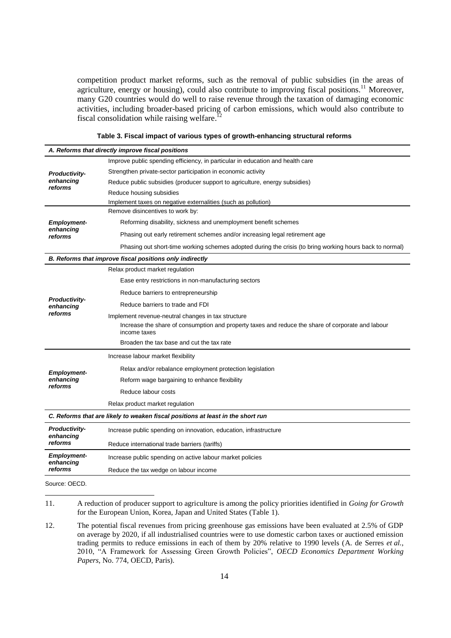competition product market reforms, such as the removal of public subsidies (in the areas of agriculture, energy or housing), could also contribute to improving fiscal positions.<sup>11</sup> Moreover, many G20 countries would do well to raise revenue through the taxation of damaging economic activities, including broader-based pricing of carbon emissions, which would also contribute to fiscal consolidation while raising welfare.<sup>12</sup>

|                                   | A. Reforms that directly improve fiscal positions                                                                 |
|-----------------------------------|-------------------------------------------------------------------------------------------------------------------|
|                                   | Improve public spending efficiency, in particular in education and health care                                    |
| <b>Productivity-</b>              | Strengthen private-sector participation in economic activity                                                      |
| enhancing                         | Reduce public subsidies (producer support to agriculture, energy subsidies)                                       |
| reforms                           | Reduce housing subsidies                                                                                          |
|                                   | Implement taxes on negative externalities (such as pollution)                                                     |
|                                   | Remove disincentives to work by:                                                                                  |
| <b>Employment-</b>                | Reforming disability, sickness and unemployment benefit schemes                                                   |
| enhancing<br>reforms              | Phasing out early retirement schemes and/or increasing legal retirement age                                       |
|                                   | Phasing out short-time working schemes adopted during the crisis (to bring working hours back to normal)          |
|                                   | B. Reforms that improve fiscal positions only indirectly                                                          |
|                                   | Relax product market regulation                                                                                   |
|                                   | Ease entry restrictions in non-manufacturing sectors                                                              |
|                                   | Reduce barriers to entrepreneurship                                                                               |
| <b>Productivity-</b><br>enhancing | Reduce barriers to trade and FDI                                                                                  |
| reforms                           | Implement revenue-neutral changes in tax structure                                                                |
|                                   | Increase the share of consumption and property taxes and reduce the share of corporate and labour<br>income taxes |
|                                   | Broaden the tax base and cut the tax rate                                                                         |
|                                   | Increase labour market flexibility                                                                                |
| <b>Employment-</b>                | Relax and/or rebalance employment protection legislation                                                          |
| enhancing                         | Reform wage bargaining to enhance flexibility                                                                     |
| reforms                           | Reduce labour costs                                                                                               |
|                                   | Relax product market regulation                                                                                   |
|                                   | C. Reforms that are likely to weaken fiscal positions at least in the short run                                   |
| <b>Productivity-</b>              | Increase public spending on innovation, education, infrastructure                                                 |
| enhancing<br>reforms              | Reduce international trade barriers (tariffs)                                                                     |
| <b>Employment-</b>                | Increase public spending on active labour market policies                                                         |
| enhancing<br>reforms              | Reduce the tax wedge on labour income                                                                             |
|                                   |                                                                                                                   |

**Table 3. Fiscal impact of various types of growth-enhancing structural reforms**

Source: OECD.

 $\overline{a}$ 

<sup>11.</sup> A reduction of producer support to agriculture is among the policy priorities identified in *Going for Growth* for the European Union, Korea, Japan and United States (Table 1).

<sup>12.</sup> The potential fiscal revenues from pricing greenhouse gas emissions have been evaluated at 2.5% of GDP on average by 2020, if all industrialised countries were to use domestic carbon taxes or auctioned emission trading permits to reduce emissions in each of them by 20% relative to 1990 levels (A. de Serres *et al.*, 2010, "A Framework for Assessing Green Growth Policies", *OECD Economics Department Working Papers*, No. 774, OECD, Paris).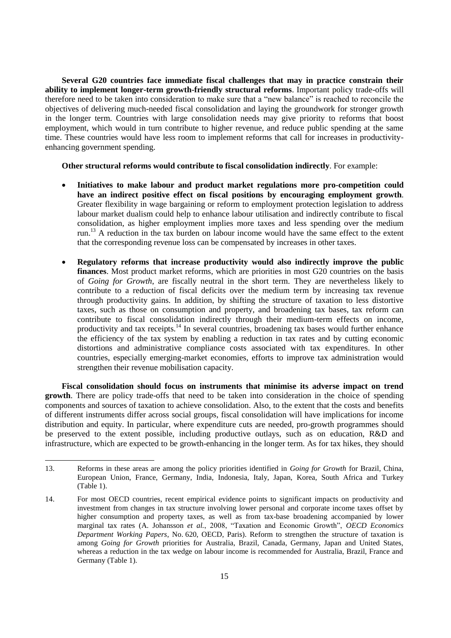**Several G20 countries face immediate fiscal challenges that may in practice constrain their ability to implement longer-term growth-friendly structural reforms**. Important policy trade-offs will therefore need to be taken into consideration to make sure that a "new balance" is reached to reconcile the objectives of delivering much-needed fiscal consolidation and laying the groundwork for stronger growth in the longer term. Countries with large consolidation needs may give priority to reforms that boost employment, which would in turn contribute to higher revenue, and reduce public spending at the same time. These countries would have less room to implement reforms that call for increases in productivityenhancing government spending.

**Other structural reforms would contribute to fiscal consolidation indirectly**. For example:

- **Initiatives to make labour and product market regulations more pro-competition could have an indirect positive effect on fiscal positions by encouraging employment growth**. Greater flexibility in wage bargaining or reform to employment protection legislation to address labour market dualism could help to enhance labour utilisation and indirectly contribute to fiscal consolidation, as higher employment implies more taxes and less spending over the medium run.<sup>13</sup> A reduction in the tax burden on labour income would have the same effect to the extent that the corresponding revenue loss can be compensated by increases in other taxes.
- **Regulatory reforms that increase productivity would also indirectly improve the public finances**. Most product market reforms, which are priorities in most G20 countries on the basis of *Going for Growth*, are fiscally neutral in the short term. They are nevertheless likely to contribute to a reduction of fiscal deficits over the medium term by increasing tax revenue through productivity gains. In addition, by shifting the structure of taxation to less distortive taxes, such as those on consumption and property, and broadening tax bases, tax reform can contribute to fiscal consolidation indirectly through their medium-term effects on income, productivity and tax receipts.<sup>14</sup> In several countries, broadening tax bases would further enhance the efficiency of the tax system by enabling a reduction in tax rates and by cutting economic distortions and administrative compliance costs associated with tax expenditures. In other countries, especially emerging-market economies, efforts to improve tax administration would strengthen their revenue mobilisation capacity.

**Fiscal consolidation should focus on instruments that minimise its adverse impact on trend growth**. There are policy trade-offs that need to be taken into consideration in the choice of spending components and sources of taxation to achieve consolidation. Also, to the extent that the costs and benefits of different instruments differ across social groups, fiscal consolidation will have implications for income distribution and equity. In particular, where expenditure cuts are needed, pro-growth programmes should be preserved to the extent possible, including productive outlays, such as on education, R&D and infrastructure, which are expected to be growth-enhancing in the longer term. As for tax hikes, they should

<sup>13.</sup> Reforms in these areas are among the policy priorities identified in *Going for Growth* for Brazil, China, European Union, France, Germany, India, Indonesia, Italy, Japan, Korea, South Africa and Turkey (Table 1).

<sup>14.</sup> For most OECD countries, recent empirical evidence points to significant impacts on productivity and investment from changes in tax structure involving lower personal and corporate income taxes offset by higher consumption and property taxes, as well as from tax-base broadening accompanied by lower marginal tax rates (A. Johansson *et al.*, 2008, "Taxation and Economic Growth", *OECD Economics Department Working Papers*, No. 620, OECD, Paris). Reform to strengthen the structure of taxation is among *Going for Growth* priorities for Australia, Brazil, Canada, Germany, Japan and United States, whereas a reduction in the tax wedge on labour income is recommended for Australia, Brazil, France and Germany (Table 1).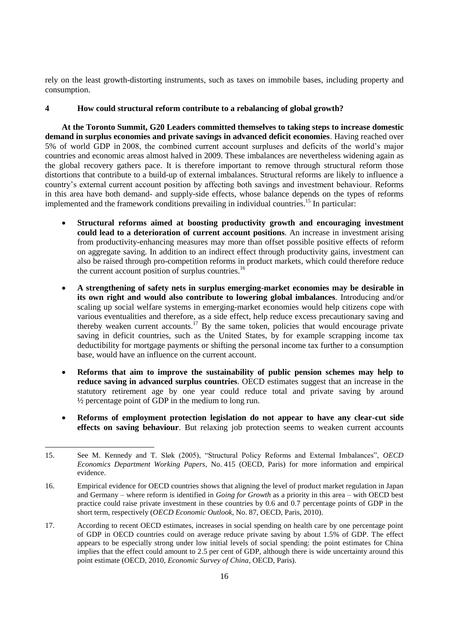rely on the least growth-distorting instruments, such as taxes on immobile bases, including property and consumption.

## **4 How could structural reform contribute to a rebalancing of global growth?**

**At the Toronto Summit, G20 Leaders committed themselves to taking steps to increase domestic demand in surplus economies and private savings in advanced deficit economies**. Having reached over 5% of world GDP in 2008, the combined current account surpluses and deficits of the world's major countries and economic areas almost halved in 2009. These imbalances are nevertheless widening again as the global recovery gathers pace. It is therefore important to remove through structural reform those distortions that contribute to a build-up of external imbalances. Structural reforms are likely to influence a country's external current account position by affecting both savings and investment behaviour. Reforms in this area have both demand- and supply-side effects, whose balance depends on the types of reforms implemented and the framework conditions prevailing in individual countries.<sup>15</sup> In particular:

- **Structural reforms aimed at boosting productivity growth and encouraging investment could lead to a deterioration of current account positions**. An increase in investment arising from productivity-enhancing measures may more than offset possible positive effects of reform on aggregate saving. In addition to an indirect effect through productivity gains, investment can also be raised through pro-competition reforms in product markets, which could therefore reduce the current account position of surplus countries. $16$
- **A strengthening of safety nets in surplus emerging-market economies may be desirable in its own right and would also contribute to lowering global imbalances**. Introducing and/or scaling up social welfare systems in emerging-market economies would help citizens cope with various eventualities and therefore, as a side effect, help reduce excess precautionary saving and thereby weaken current accounts.<sup>17</sup> By the same token, policies that would encourage private saving in deficit countries, such as the United States, by for example scrapping income tax deductibility for mortgage payments or shifting the personal income tax further to a consumption base, would have an influence on the current account.
- **Reforms that aim to improve the sustainability of public pension schemes may help to reduce saving in advanced surplus countries**. OECD estimates suggest that an increase in the statutory retirement age by one year could reduce total and private saving by around ½ percentage point of GDP in the medium to long run.
- **Reforms of employment protection legislation do not appear to have any clear-cut side effects on saving behaviour**. But relaxing job protection seems to weaken current accounts

17. According to recent OECD estimates, increases in social spending on health care by one percentage point of GDP in OECD countries could on average reduce private saving by about 1.5% of GDP. The effect appears to be especially strong under low initial levels of social spending: the point estimates for China implies that the effect could amount to 2.5 per cent of GDP, although there is wide uncertainty around this point estimate (OECD, 2010, *Economic Survey of China*, OECD, Paris).

<sup>15.</sup> See M. Kennedy and T. Sløk (2005), "Structural Policy Reforms and External Imbalances", *OECD Economics Department Working Papers*, No. 415 (OECD, Paris) for more information and empirical evidence.

<sup>16.</sup> Empirical evidence for OECD countries shows that aligning the level of product market regulation in Japan and Germany – where reform is identified in *Going for Growth* as a priority in this area – with OECD best practice could raise private investment in these countries by 0.6 and 0.7 percentage points of GDP in the short term, respectively (*OECD Economic Outlook*, No. 87, OECD, Paris, 2010).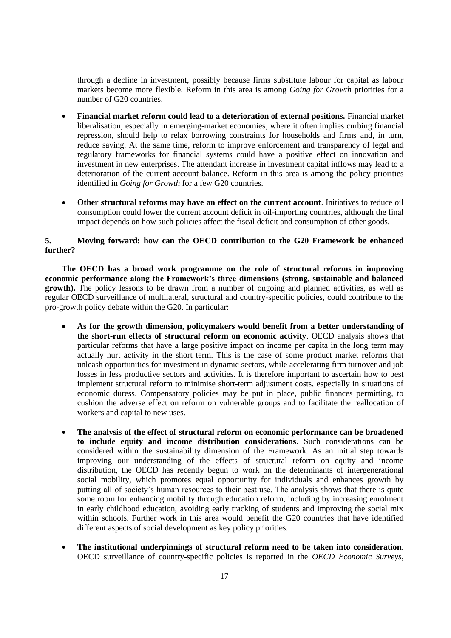through a decline in investment, possibly because firms substitute labour for capital as labour markets become more flexible. Reform in this area is among *Going for Growth* priorities for a number of G20 countries.

- **Financial market reform could lead to a deterioration of external positions.** Financial market liberalisation, especially in emerging-market economies, where it often implies curbing financial repression, should help to relax borrowing constraints for households and firms and, in turn, reduce saving. At the same time, reform to improve enforcement and transparency of legal and regulatory frameworks for financial systems could have a positive effect on innovation and investment in new enterprises. The attendant increase in investment capital inflows may lead to a deterioration of the current account balance. Reform in this area is among the policy priorities identified in *Going for Growth* for a few G20 countries.
- **Other structural reforms may have an effect on the current account**. Initiatives to reduce oil consumption could lower the current account deficit in oil-importing countries, although the final impact depends on how such policies affect the fiscal deficit and consumption of other goods.

## **5. Moving forward: how can the OECD contribution to the G20 Framework be enhanced further?**

**The OECD has a broad work programme on the role of structural reforms in improving economic performance along the Framework's three dimensions (strong, sustainable and balanced growth).** The policy lessons to be drawn from a number of ongoing and planned activities, as well as regular OECD surveillance of multilateral, structural and country-specific policies, could contribute to the pro-growth policy debate within the G20. In particular:

- **As for the growth dimension, policymakers would benefit from a better understanding of the short-run effects of structural reform on economic activity**. OECD analysis shows that particular reforms that have a large positive impact on income per capita in the long term may actually hurt activity in the short term. This is the case of some product market reforms that unleash opportunities for investment in dynamic sectors, while accelerating firm turnover and job losses in less productive sectors and activities. It is therefore important to ascertain how to best implement structural reform to minimise short-term adjustment costs, especially in situations of economic duress. Compensatory policies may be put in place, public finances permitting, to cushion the adverse effect on reform on vulnerable groups and to facilitate the reallocation of workers and capital to new uses.
- **The analysis of the effect of structural reform on economic performance can be broadened to include equity and income distribution considerations**. Such considerations can be considered within the sustainability dimension of the Framework. As an initial step towards improving our understanding of the effects of structural reform on equity and income distribution, the OECD has recently begun to work on the determinants of intergenerational social mobility, which promotes equal opportunity for individuals and enhances growth by putting all of society's human resources to their best use. The analysis shows that there is quite some room for enhancing mobility through education reform, including by increasing enrolment in early childhood education, avoiding early tracking of students and improving the social mix within schools. Further work in this area would benefit the G20 countries that have identified different aspects of social development as key policy priorities.
- **The institutional underpinnings of structural reform need to be taken into consideration**. OECD surveillance of country-specific policies is reported in the *OECD Economic Surveys*,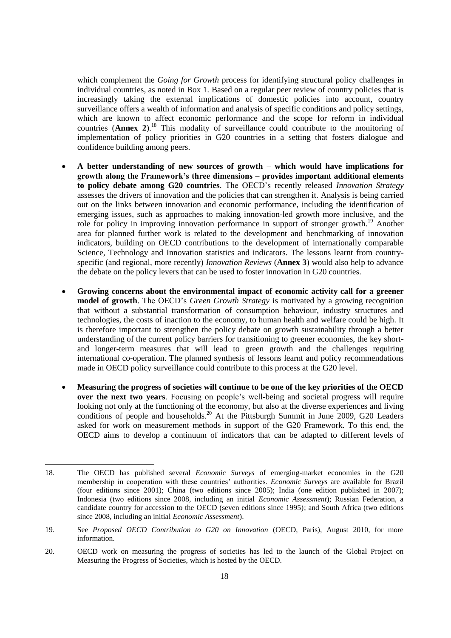which complement the *Going for Growth* process for identifying structural policy challenges in individual countries, as noted in Box 1. Based on a regular peer review of country policies that is increasingly taking the external implications of domestic policies into account, country surveillance offers a wealth of information and analysis of specific conditions and policy settings, which are known to affect economic performance and the scope for reform in individual countries (**Annex 2**). <sup>18</sup> This modality of surveillance could contribute to the monitoring of implementation of policy priorities in G20 countries in a setting that fosters dialogue and confidence building among peers.

- **A better understanding of new sources of growth – which would have implications for growth along the Framework's three dimensions – provides important additional elements to policy debate among G20 countries**. The OECD's recently released *Innovation Strategy* assesses the drivers of innovation and the policies that can strengthen it. Analysis is being carried out on the links between innovation and economic performance, including the identification of emerging issues, such as approaches to making innovation-led growth more inclusive, and the role for policy in improving innovation performance in support of stronger growth.<sup>19</sup> Another area for planned further work is related to the development and benchmarking of innovation indicators, building on OECD contributions to the development of internationally comparable Science, Technology and Innovation statistics and indicators. The lessons learnt from countryspecific (and regional, more recently) *Innovation Reviews* (**Annex 3**) would also help to advance the debate on the policy levers that can be used to foster innovation in G20 countries.
- **Growing concerns about the environmental impact of economic activity call for a greener model of growth**. The OECD's *Green Growth Strategy* is motivated by a growing recognition that without a substantial transformation of consumption behaviour, industry structures and technologies, the costs of inaction to the economy, to human health and welfare could be high. It is therefore important to strengthen the policy debate on growth sustainability through a better understanding of the current policy barriers for transitioning to greener economies, the key shortand longer-term measures that will lead to green growth and the challenges requiring international co-operation. The planned synthesis of lessons learnt and policy recommendations made in OECD policy surveillance could contribute to this process at the G20 level.
- **Measuring the progress of societies will continue to be one of the key priorities of the OECD over the next two years**. Focusing on people's well-being and societal progress will require looking not only at the functioning of the economy, but also at the diverse experiences and living conditions of people and households.<sup>20</sup> At the Pittsburgh Summit in June 2009, G20 Leaders asked for work on measurement methods in support of the G20 Framework. To this end, the OECD aims to develop a continuum of indicators that can be adapted to different levels of

<sup>18.</sup> The OECD has published several *Economic Surveys* of emerging-market economies in the G20 membership in cooperation with these countries' authorities. *Economic Surveys* are available for Brazil (four editions since 2001); China (two editions since 2005); India (one edition published in 2007); Indonesia (two editions since 2008, including an initial *Economic Assessment*); Russian Federation, a candidate country for accession to the OECD (seven editions since 1995); and South Africa (two editions since 2008, including an initial *Economic Assessment*).

<sup>19.</sup> See *Proposed OECD Contribution to G20 on Innovation* (OECD, Paris), August 2010, for more information.

<sup>20.</sup> OECD work on measuring the progress of societies has led to the launch of the Global Project on Measuring the Progress of Societies, which is hosted by the OECD.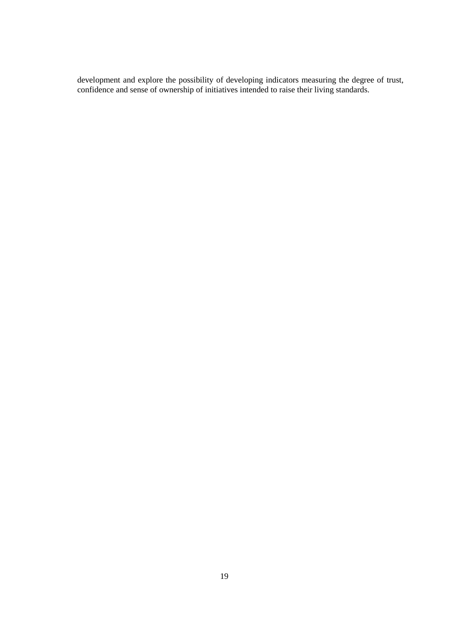development and explore the possibility of developing indicators measuring the degree of trust, confidence and sense of ownership of initiatives intended to raise their living standards.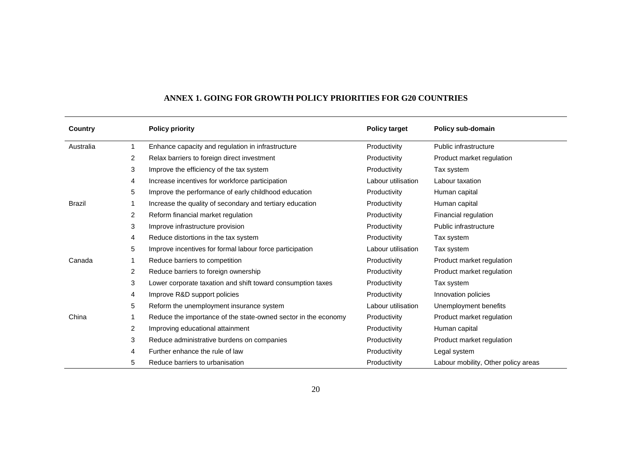| Country       |                | <b>Policy priority</b>                                         | <b>Policy target</b> | Policy sub-domain                   |
|---------------|----------------|----------------------------------------------------------------|----------------------|-------------------------------------|
| Australia     |                | Enhance capacity and regulation in infrastructure              | Productivity         | Public infrastructure               |
|               | 2              | Relax barriers to foreign direct investment                    | Productivity         | Product market regulation           |
|               | 3              | Improve the efficiency of the tax system                       | Productivity         | Tax system                          |
|               | 4              | Increase incentives for workforce participation                | Labour utilisation   | Labour taxation                     |
|               | 5              | Improve the performance of early childhood education           | Productivity         | Human capital                       |
| <b>Brazil</b> |                | Increase the quality of secondary and tertiary education       | Productivity         | Human capital                       |
|               | $\overline{2}$ | Reform financial market regulation                             | Productivity         | Financial regulation                |
|               | 3              | Improve infrastructure provision                               | Productivity         | Public infrastructure               |
|               | 4              | Reduce distortions in the tax system                           | Productivity         | Tax system                          |
|               | 5              | Improve incentives for formal labour force participation       | Labour utilisation   | Tax system                          |
| Canada        |                | Reduce barriers to competition                                 | Productivity         | Product market regulation           |
|               | 2              | Reduce barriers to foreign ownership                           | Productivity         | Product market regulation           |
|               | 3              | Lower corporate taxation and shift toward consumption taxes    | Productivity         | Tax system                          |
|               | 4              | Improve R&D support policies                                   | Productivity         | Innovation policies                 |
|               | 5              | Reform the unemployment insurance system                       | Labour utilisation   | Unemployment benefits               |
| China         |                | Reduce the importance of the state-owned sector in the economy | Productivity         | Product market regulation           |
|               | $\overline{2}$ | Improving educational attainment                               | Productivity         | Human capital                       |
|               | 3              | Reduce administrative burdens on companies                     | Productivity         | Product market regulation           |
|               | 4              | Further enhance the rule of law                                | Productivity         | Legal system                        |
|               | 5              | Reduce barriers to urbanisation                                | Productivity         | Labour mobility, Other policy areas |

# **ANNEX 1. GOING FOR GROWTH POLICY PRIORITIES FOR G20 COUNTRIES**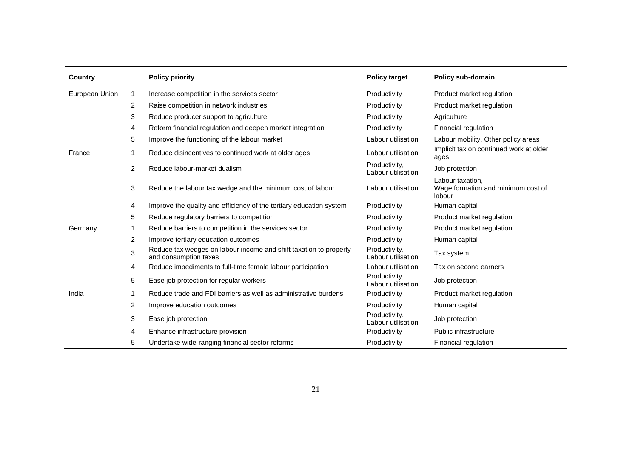| Country        |                | <b>Policy priority</b>                                                                     | <b>Policy target</b>                | Policy sub-domain                                                |
|----------------|----------------|--------------------------------------------------------------------------------------------|-------------------------------------|------------------------------------------------------------------|
| European Union | $\mathbf{1}$   | Increase competition in the services sector                                                | Productivity                        | Product market regulation                                        |
|                | 2              | Raise competition in network industries                                                    | Productivity                        | Product market regulation                                        |
|                | 3              | Reduce producer support to agriculture                                                     | Productivity                        | Agriculture                                                      |
|                | 4              | Reform financial regulation and deepen market integration                                  | Productivity                        | Financial regulation                                             |
|                | 5              | Improve the functioning of the labour market                                               | Labour utilisation                  | Labour mobility, Other policy areas                              |
| France         | 1              | Reduce disincentives to continued work at older ages                                       | Labour utilisation                  | Implicit tax on continued work at older<br>ages                  |
|                | $\overline{c}$ | Reduce labour-market dualism                                                               | Productivity,<br>Labour utilisation | Job protection                                                   |
|                | 3              | Reduce the labour tax wedge and the minimum cost of labour                                 | Labour utilisation                  | Labour taxation,<br>Wage formation and minimum cost of<br>labour |
|                | 4              | Improve the quality and efficiency of the tertiary education system                        | Productivity                        | Human capital                                                    |
|                | 5              | Reduce regulatory barriers to competition                                                  | Productivity                        | Product market regulation                                        |
| Germany        | 1              | Reduce barriers to competition in the services sector                                      | Productivity                        | Product market regulation                                        |
|                | $\overline{c}$ | Improve tertiary education outcomes                                                        | Productivity                        | Human capital                                                    |
|                | $\mathbf 3$    | Reduce tax wedges on labour income and shift taxation to property<br>and consumption taxes | Productivity,<br>Labour utilisation | Tax system                                                       |
|                | 4              | Reduce impediments to full-time female labour participation                                | Labour utilisation                  | Tax on second earners                                            |
|                | 5              | Ease job protection for regular workers                                                    | Productivity,<br>Labour utilisation | Job protection                                                   |
| India          | 1              | Reduce trade and FDI barriers as well as administrative burdens                            | Productivity                        | Product market regulation                                        |
|                | 2              | Improve education outcomes                                                                 | Productivity                        | Human capital                                                    |
|                | 3              | Ease job protection                                                                        | Productivity,<br>Labour utilisation | Job protection                                                   |
|                | 4              | Enhance infrastructure provision                                                           | Productivity                        | Public infrastructure                                            |
|                | 5              | Undertake wide-ranging financial sector reforms                                            | Productivity                        | Financial regulation                                             |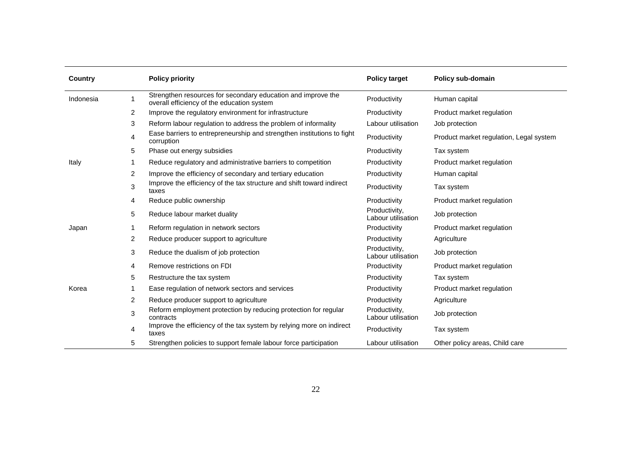| Country   |   | <b>Policy priority</b>                                                                                     | <b>Policy target</b>                | Policy sub-domain                       |
|-----------|---|------------------------------------------------------------------------------------------------------------|-------------------------------------|-----------------------------------------|
| Indonesia | 1 | Strengthen resources for secondary education and improve the<br>overall efficiency of the education system | Productivity                        | Human capital                           |
|           | 2 | Improve the regulatory environment for infrastructure                                                      | Productivity                        | Product market regulation               |
|           | 3 | Reform labour regulation to address the problem of informality                                             | Labour utilisation                  | Job protection                          |
|           | 4 | Ease barriers to entrepreneurship and strengthen institutions to fight<br>corruption                       | Productivity                        | Product market regulation, Legal system |
|           | 5 | Phase out energy subsidies                                                                                 | Productivity                        | Tax system                              |
| Italy     | 1 | Reduce regulatory and administrative barriers to competition                                               | Productivity                        | Product market regulation               |
|           | 2 | Improve the efficiency of secondary and tertiary education                                                 | Productivity                        | Human capital                           |
|           | 3 | Improve the efficiency of the tax structure and shift toward indirect<br>taxes                             | Productivity                        | Tax system                              |
|           | 4 | Reduce public ownership                                                                                    | Productivity                        | Product market regulation               |
|           | 5 | Reduce labour market duality                                                                               | Productivity,<br>Labour utilisation | Job protection                          |
| Japan     | 1 | Reform regulation in network sectors                                                                       | Productivity                        | Product market regulation               |
|           | 2 | Reduce producer support to agriculture                                                                     | Productivity                        | Agriculture                             |
|           | 3 | Reduce the dualism of job protection                                                                       | Productivity,<br>Labour utilisation | Job protection                          |
|           | 4 | Remove restrictions on FDI                                                                                 | Productivity                        | Product market regulation               |
|           | 5 | Restructure the tax system                                                                                 | Productivity                        | Tax system                              |
| Korea     | 1 | Ease regulation of network sectors and services                                                            | Productivity                        | Product market regulation               |
|           | 2 | Reduce producer support to agriculture                                                                     | Productivity                        | Agriculture                             |
|           | 3 | Reform employment protection by reducing protection for regular<br>contracts                               | Productivity,<br>Labour utilisation | Job protection                          |
|           | 4 | Improve the efficiency of the tax system by relying more on indirect<br>taxes                              | Productivity                        | Tax system                              |
|           | 5 | Strengthen policies to support female labour force participation                                           | Labour utilisation                  | Other policy areas, Child care          |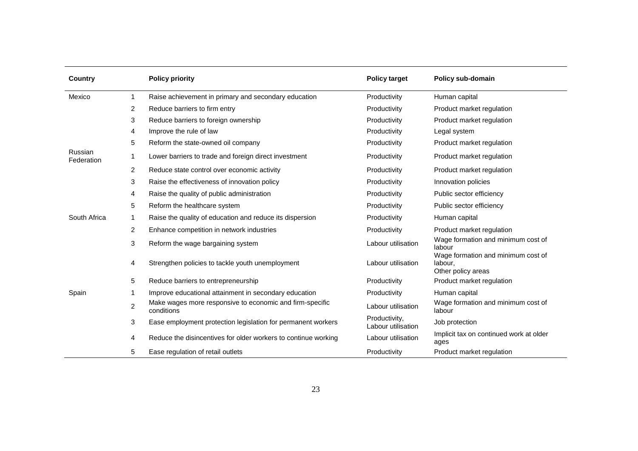| Country               |                | <b>Policy priority</b>                                                 | <b>Policy target</b>                | Policy sub-domain                                                   |
|-----------------------|----------------|------------------------------------------------------------------------|-------------------------------------|---------------------------------------------------------------------|
| Mexico                | $\mathbf{1}$   | Raise achievement in primary and secondary education                   | Productivity                        | Human capital                                                       |
|                       | 2              | Reduce barriers to firm entry                                          | Productivity                        | Product market regulation                                           |
|                       | 3              | Reduce barriers to foreign ownership                                   | Productivity                        | Product market regulation                                           |
|                       | 4              | Improve the rule of law                                                | Productivity                        | Legal system                                                        |
|                       | 5              | Reform the state-owned oil company                                     | Productivity                        | Product market regulation                                           |
| Russian<br>Federation | 1              | Lower barriers to trade and foreign direct investment                  | Productivity                        | Product market regulation                                           |
|                       | 2              | Reduce state control over economic activity                            | Productivity                        | Product market regulation                                           |
|                       | 3              | Raise the effectiveness of innovation policy                           | Productivity                        | Innovation policies                                                 |
|                       | 4              | Raise the quality of public administration                             | Productivity                        | Public sector efficiency                                            |
|                       | 5              | Reform the healthcare system                                           | Productivity                        | Public sector efficiency                                            |
| South Africa          | 1              | Raise the quality of education and reduce its dispersion               | Productivity                        | Human capital                                                       |
|                       | 2              | Enhance competition in network industries                              | Productivity                        | Product market regulation                                           |
|                       | 3              | Reform the wage bargaining system                                      | Labour utilisation                  | Wage formation and minimum cost of<br>labour                        |
|                       | 4              | Strengthen policies to tackle youth unemployment                       | Labour utilisation                  | Wage formation and minimum cost of<br>labour,<br>Other policy areas |
|                       | 5              | Reduce barriers to entrepreneurship                                    | Productivity                        | Product market regulation                                           |
| Spain                 | 1              | Improve educational attainment in secondary education                  | Productivity                        | Human capital                                                       |
|                       | $\overline{c}$ | Make wages more responsive to economic and firm-specific<br>conditions | Labour utilisation                  | Wage formation and minimum cost of<br>labour                        |
|                       | 3              | Ease employment protection legislation for permanent workers           | Productivity,<br>Labour utilisation | Job protection                                                      |
|                       | 4              | Reduce the disincentives for older workers to continue working         | Labour utilisation                  | Implicit tax on continued work at older<br>ages                     |
|                       | 5              | Ease regulation of retail outlets                                      | Productivity                        | Product market regulation                                           |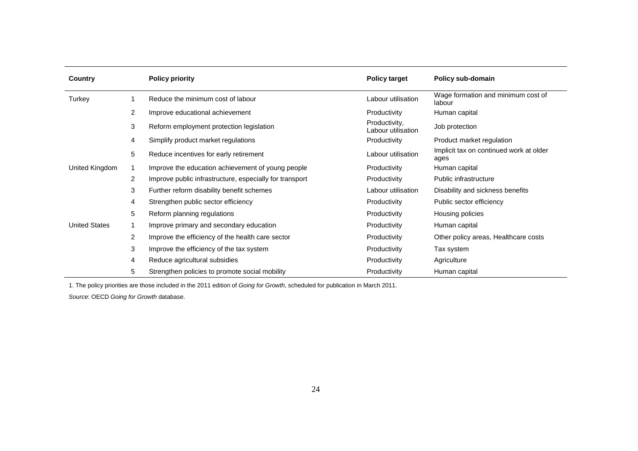| Country              |                | <b>Policy priority</b>                                  | <b>Policy target</b>                | Policy sub-domain                               |
|----------------------|----------------|---------------------------------------------------------|-------------------------------------|-------------------------------------------------|
| Turkey               |                | Reduce the minimum cost of labour                       | Labour utilisation                  | Wage formation and minimum cost of<br>labour    |
|                      | 2              | Improve educational achievement                         | Productivity                        | Human capital                                   |
|                      | 3              | Reform employment protection legislation                | Productivity,<br>Labour utilisation | Job protection                                  |
|                      | 4              | Simplify product market regulations                     | Productivity                        | Product market regulation                       |
|                      | 5              | Reduce incentives for early retirement                  | Labour utilisation                  | Implicit tax on continued work at older<br>ages |
| United Kingdom       |                | Improve the education achievement of young people       | Productivity                        | Human capital                                   |
|                      | 2              | Improve public infrastructure, especially for transport | Productivity                        | Public infrastructure                           |
|                      | 3              | Further reform disability benefit schemes               | Labour utilisation                  | Disability and sickness benefits                |
|                      | 4              | Strengthen public sector efficiency                     | Productivity                        | Public sector efficiency                        |
|                      | 5              | Reform planning regulations                             | Productivity                        | Housing policies                                |
| <b>United States</b> |                | Improve primary and secondary education                 | Productivity                        | Human capital                                   |
|                      | $\overline{2}$ | Improve the efficiency of the health care sector        | Productivity                        | Other policy areas, Healthcare costs            |
|                      | 3              | Improve the efficiency of the tax system                | Productivity                        | Tax system                                      |
|                      | 4              | Reduce agricultural subsidies                           | Productivity                        | Agriculture                                     |
|                      | 5              | Strengthen policies to promote social mobility          | Productivity                        | Human capital                                   |

1. The policy priorities are those included in the 2011 edition of *Going for Growth*, scheduled for publication in March 2011.

*Source*: OECD *Going for Growth* database.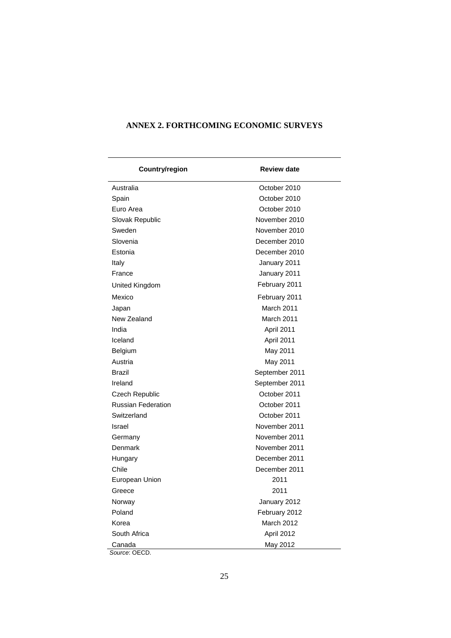| Country/region            | <b>Review date</b> |  |  |
|---------------------------|--------------------|--|--|
| Australia                 | October 2010       |  |  |
| Spain                     | October 2010       |  |  |
| Euro Area                 | October 2010       |  |  |
| Slovak Republic           | November 2010      |  |  |
| Sweden                    | November 2010      |  |  |
| Slovenia                  | December 2010      |  |  |
| Estonia                   | December 2010      |  |  |
| Italy                     | January 2011       |  |  |
| France                    | January 2011       |  |  |
| United Kingdom            | February 2011      |  |  |
| Mexico                    | February 2011      |  |  |
| Japan                     | March 2011         |  |  |
| New Zealand               | March 2011         |  |  |
| India                     | April 2011         |  |  |
| Iceland                   | April 2011         |  |  |
| Belgium                   | May 2011           |  |  |
| Austria                   | May 2011           |  |  |
| Brazil                    | September 2011     |  |  |
| Ireland                   | September 2011     |  |  |
| Czech Republic            | October 2011       |  |  |
| <b>Russian Federation</b> | October 2011       |  |  |
| Switzerland               | October 2011       |  |  |
| Israel                    | November 2011      |  |  |
| Germany                   | November 2011      |  |  |
| Denmark                   | November 2011      |  |  |
| Hungary                   | December 2011      |  |  |
| Chile                     | December 2011      |  |  |
| European Union            | 2011               |  |  |
| Greece                    | 2011               |  |  |
| Norway                    | January 2012       |  |  |
| Poland                    | February 2012      |  |  |
| Korea                     | March 2012         |  |  |
| South Africa              | April 2012         |  |  |
| Canada<br>Source: OECD.   | May 2012           |  |  |

## **ANNEX 2. FORTHCOMING ECONOMIC SURVEYS**